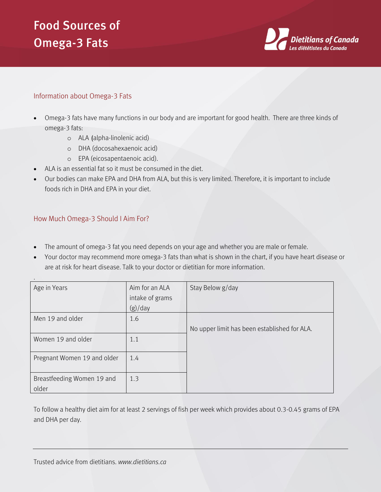## Food Sources of Omega-3 Fats



## Information about Omega-3 Fats

- Omega-3 fats have many functions in our body and are important for good health. There are three kinds of omega-3 fats:
	- o ALA (alpha-linolenic acid)
	- o DHA (docosahexaenoic acid)
	- o EPA (eicosapentaenoic acid).
- ALA is an essential fat so it must be consumed in the diet.
- Our bodies can make EPA and DHA from ALA, but this is very limited. Therefore, it is important to include foods rich in DHA and EPA in your diet.

## How Much Omega-3 Should I Aim For?

.

- The amount of omega-3 fat you need depends on your age and whether you are male or female.
- Your doctor may recommend more omega-3 fats than what is shown in the chart, if you have heart disease or are at risk for heart disease. Talk to your doctor or dietitian for more information.

| Age in Years                        | Aim for an ALA  | Stay Below g/day                             |
|-------------------------------------|-----------------|----------------------------------------------|
|                                     | intake of grams |                                              |
|                                     | (g)/day         |                                              |
| Men 19 and older                    | 1.6             |                                              |
|                                     |                 | No upper limit has been established for ALA. |
| Women 19 and older                  | 1.1             |                                              |
| Pregnant Women 19 and older         | 1.4             |                                              |
| Breastfeeding Women 19 and<br>older | 1.3             |                                              |

To follow a healthy diet aim for at least 2 servings of fish per week which provides about 0.3-0.45 grams of EPA and DHA per day.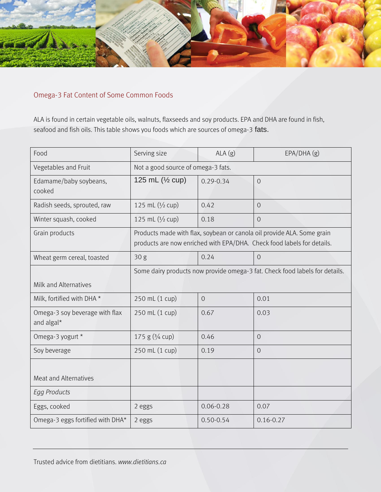

## Omega-3 Fat Content of Some Common Foods

ALA is found in certain vegetable oils, walnuts, flaxseeds and soy products. EPA and DHA are found in fish, seafood and fish oils. This table shows you foods which are sources of omega-3 fats.

| Food                                         | Serving size                                                                                                                                     | ALA(g)         | EPA/DHA(g)     |  |
|----------------------------------------------|--------------------------------------------------------------------------------------------------------------------------------------------------|----------------|----------------|--|
| Vegetables and Fruit                         | Not a good source of omega-3 fats.                                                                                                               |                |                |  |
| Edamame/baby soybeans,<br>cooked             | 125 mL (1/2 cup)                                                                                                                                 | $0.29 - 0.34$  | $\overline{O}$ |  |
| Radish seeds, sprouted, raw                  | 125 mL (1/2 cup)                                                                                                                                 | 0.42           | $\overline{O}$ |  |
| Winter squash, cooked                        | 125 mL (1/2 cup)                                                                                                                                 | 0.18           | $\overline{O}$ |  |
| Grain products                               | Products made with flax, soybean or canola oil provide ALA. Some grain<br>products are now enriched with EPA/DHA. Check food labels for details. |                |                |  |
| Wheat germ cereal, toasted                   | 30 g                                                                                                                                             | 0.24           | $\Omega$       |  |
|                                              | Some dairy products now provide omega-3 fat. Check food labels for details.                                                                      |                |                |  |
| Milk and Alternatives                        |                                                                                                                                                  |                |                |  |
| Milk, fortified with DHA *                   | 250 mL (1 cup)                                                                                                                                   | $\overline{O}$ | 0.01           |  |
| Omega-3 soy beverage with flax<br>and algal* | 250 mL (1 cup)                                                                                                                                   | 0.67           | 0.03           |  |
| Omega-3 yogurt *                             | 175 g $(3/4$ cup)                                                                                                                                | 0.46           | $\overline{0}$ |  |
| Soy beverage                                 | 250 mL (1 cup)                                                                                                                                   | 0.19           | $\overline{O}$ |  |
| <b>Meat and Alternatives</b>                 |                                                                                                                                                  |                |                |  |
| <b>Egg Products</b>                          |                                                                                                                                                  |                |                |  |
| Eggs, cooked                                 | 2 eggs                                                                                                                                           | $0.06 - 0.28$  | 0.07           |  |
| Omega-3 eggs fortified with DHA*             | 2 eggs                                                                                                                                           | $0.50 - 0.54$  | $0.16 - 0.27$  |  |

Trusted advice from dietitians. *www.dietitians.ca*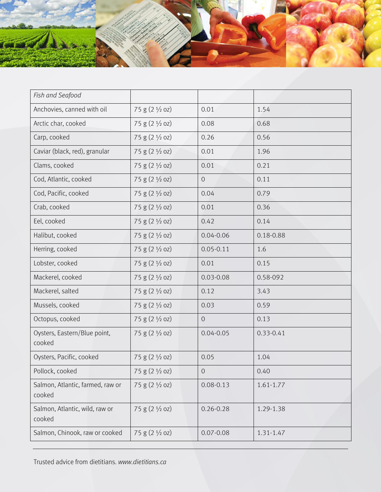

| Fish and Seafood                           |                           |                |               |
|--------------------------------------------|---------------------------|----------------|---------------|
| Anchovies, canned with oil                 | 75 g (2 1/2 oz)           | 0.01           | 1.54          |
| Arctic char, cooked                        | $75 g (2 \frac{1}{2} oz)$ | 0.08           | 0.68          |
| Carp, cooked                               | $75 g (2 \frac{1}{2} oz)$ | 0.26           | 0.56          |
| Caviar (black, red), granular              | $75 g (2 \frac{1}{2} oz)$ | 0.01           | 1.96          |
| Clams, cooked                              | 75 g (2 1/2 oz)           | 0.01           | 0.21          |
| Cod, Atlantic, cooked                      | $75 g (2 \frac{1}{2} oz)$ | $\sqrt{O}$     | 0.11          |
| Cod, Pacific, cooked                       | 75 g (2 1/2 oz)           | 0.04           | 0.79          |
| Crab, cooked                               | $75 g (2 \frac{1}{2} oz)$ | 0.01           | 0.36          |
| Eel, cooked                                | 75 g (2 1/2 oz)           | 0.42           | 0.14          |
| Halibut, cooked                            | 75 g $(2 \frac{1}{2}$ oz) | $0.04 - 0.06$  | 0.18-0.88     |
| Herring, cooked                            | $75 g (2 \frac{1}{2} oz)$ | $0.05 - 0.11$  | 1.6           |
| Lobster, cooked                            | 75 g $(2 \frac{1}{2}$ oz) | 0.01           | 0.15          |
| Mackerel, cooked                           | 75 g (2 1/2 oz)           | $0.03 - 0.08$  | 0.58-092      |
| Mackerel, salted                           | 75 g $(2 \frac{1}{2}$ oz) | 0.12           | 3.43          |
| Mussels, cooked                            | 75 g $(2 \frac{1}{2}$ oz) | 0.03           | 0.59          |
| Octopus, cooked                            | 75 g $(2 \frac{1}{2}$ oz) | $\overline{O}$ | 0.13          |
| Oysters, Eastern/Blue point,<br>cooked     | 75 g $(2 \frac{1}{2}$ oz) | $0.04 - 0.05$  | $0.33 - 0.41$ |
| Oysters, Pacific, cooked                   | $75 g (2 \frac{1}{2} oz)$ | 0.05           | 1.04          |
| Pollock, cooked                            | 75 g (2 1/2 oz)           | $\mathbf 0$    | 0.40          |
| Salmon, Atlantic, farmed, raw or<br>cooked | 75 g (2 1/2 oz)           | $0.08 - 0.13$  | $1.61 - 1.77$ |
| Salmon, Atlantic, wild, raw or<br>cooked   | $75 g (2 \frac{1}{2} oz)$ | $0.26 - 0.28$  | 1.29-1.38     |
| Salmon, Chinook, raw or cooked             | 75 g (2 1/2 oz)           | $0.07 - 0.08$  | 1.31-1.47     |

Trusted advice from dietitians. *www.dietitians.ca*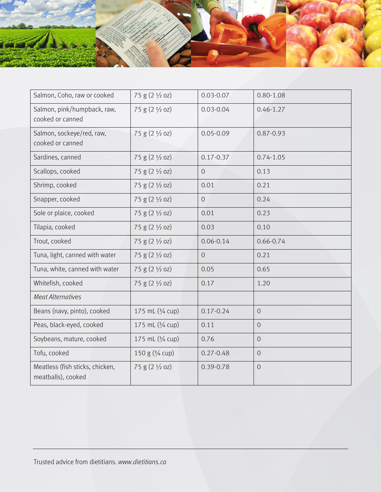

| Salmon, Coho, raw or cooked                           | 75 g (2 1/2 oz)           | $0.03 - 0.07$  | $0.80 - 1.08$  |
|-------------------------------------------------------|---------------------------|----------------|----------------|
| Salmon, pink/humpback, raw,<br>cooked or canned       | 75 g (2 1/2 oz)           | $0.03 - 0.04$  | $0.46 - 1.27$  |
| Salmon, sockeye/red, raw,<br>cooked or canned         | 75 g (2 1/2 oz)           | $0.05 - 0.09$  | $0.87 - 0.93$  |
| Sardines, canned                                      | 75 g (2 1/2 oz)           | $0.17 - 0.37$  | $0.74 - 1.05$  |
| Scallops, cooked                                      | 75 g (2 1/2 oz)           | $\overline{O}$ | 0.13           |
| Shrimp, cooked                                        | 75 g (2 1/2 oz)           | 0.01           | 0.21           |
| Snapper, cooked                                       | 75 g (2 1/2 oz)           | $\overline{O}$ | 0.24           |
| Sole or plaice, cooked                                | 75 g (2 1/2 oz)           | 0.01           | 0.23           |
| Tilapia, cooked                                       | 75 g (2 1/2 oz)           | 0.03           | 0.10           |
| Trout, cooked                                         | 75 g (2 1/2 oz)           | $0.06 - 0.14$  | $0.66 - 0.74$  |
| Tuna, light, canned with water                        | $75 g (2 \frac{1}{2} oz)$ | $\overline{O}$ | 0.21           |
| Tuna, white, canned with water                        | 75 g (2 1/2 oz)           | 0.05           | 0.65           |
| Whitefish, cooked                                     | 75 g (2 1/2 oz)           | 0.17           | 1.20           |
| <b>Meat Alternatives</b>                              |                           |                |                |
| Beans (navy, pinto), cooked                           | 175 mL (3/4 cup)          | $0.17 - 0.24$  | $\overline{O}$ |
| Peas, black-eyed, cooked                              | 175 mL (3/4 cup)          | 0.11           | $\overline{O}$ |
| Soybeans, mature, cooked                              | 175 mL (3/4 cup)          | 0.76           | $\overline{0}$ |
| Tofu, cooked                                          | 150 g (3/4 cup)           | $0.27 - 0.48$  | $\overline{0}$ |
| Meatless (fish sticks, chicken,<br>meatballs), cooked | 75 g (2 1/2 oz)           | 0.39-0.78      | $\overline{0}$ |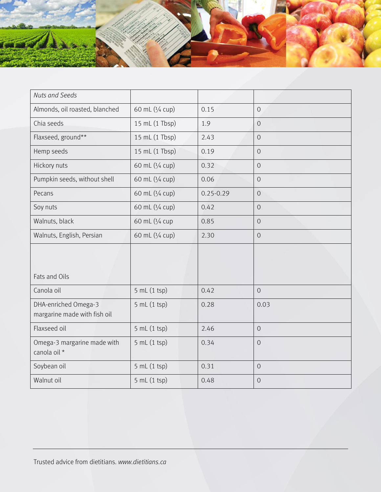

| <b>Nuts and Seeds</b>                                |                 |               |                |
|------------------------------------------------------|-----------------|---------------|----------------|
| Almonds, oil roasted, blanched                       | 60 mL (1/4 cup) | 0.15          | $\overline{0}$ |
| Chia seeds                                           | 15 mL (1 Tbsp)  | 1.9           | $\overline{O}$ |
| Flaxseed, ground**                                   | 15 mL (1 Tbsp)  | 2.43          | $\overline{O}$ |
| Hemp seeds                                           | 15 mL (1 Tbsp)  | 0.19          | $\mathbf 0$    |
| Hickory nuts                                         | 60 mL (1/4 cup) | 0.32          | $\overline{O}$ |
| Pumpkin seeds, without shell                         | 60 mL (1/4 cup) | 0.06          | $\overline{O}$ |
| Pecans                                               | 60 mL (1/4 cup) | $0.25 - 0.29$ | $\overline{O}$ |
| Soy nuts                                             | 60 mL (1/4 cup) | 0.42          | $\overline{O}$ |
| Walnuts, black                                       | 60 mL (1/4 cup  | 0.85          | $\mathbf 0$    |
| Walnuts, English, Persian                            | 60 mL (1/4 cup) | 2.30          | $\overline{O}$ |
| Fats and Oils                                        |                 |               |                |
| Canola oil                                           | 5 mL (1 tsp)    | 0.42          | $\overline{O}$ |
| DHA-enriched Omega-3<br>margarine made with fish oil | 5 mL (1 tsp)    | 0.28          | 0.03           |
| Flaxseed oil                                         | 5 mL (1 tsp)    | 2.46          | $\overline{O}$ |
| Omega-3 margarine made with<br>canola oil *          | 5 mL (1 tsp)    | 0.34          | $\overline{O}$ |
| Soybean oil                                          | 5 mL(1 tsp)     | 0.31          | $\overline{0}$ |
| Walnut oil                                           | 5 mL (1 tsp)    | 0.48          | $\overline{O}$ |